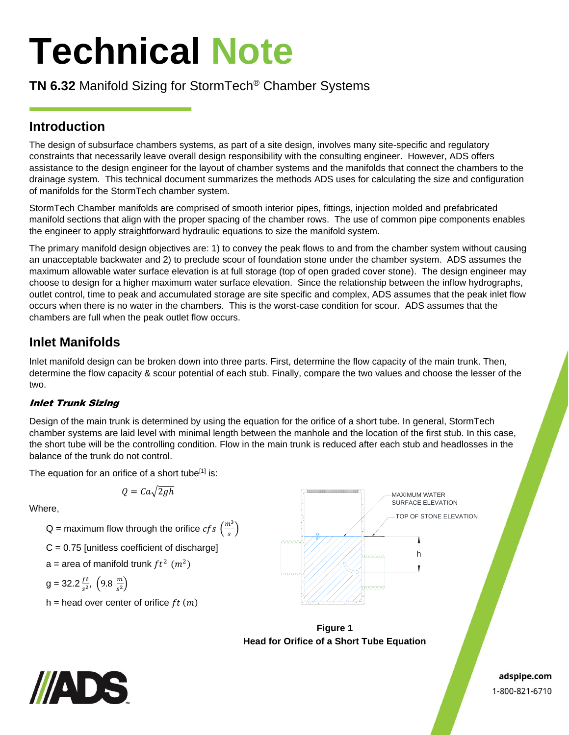# **Technical Note**

## **TN 6.32** Manifold Sizing for StormTech® Chamber Systems

## **Introduction**

The design of subsurface chambers systems, as part of a site design, involves many site-specific and regulatory constraints that necessarily leave overall design responsibility with the consulting engineer. However, ADS offers assistance to the design engineer for the layout of chamber systems and the manifolds that connect the chambers to the drainage system. This technical document summarizes the methods ADS uses for calculating the size and configuration of manifolds for the StormTech chamber system.

StormTech Chamber manifolds are comprised of smooth interior pipes, fittings, injection molded and prefabricated manifold sections that align with the proper spacing of the chamber rows. The use of common pipe components enables the engineer to apply straightforward hydraulic equations to size the manifold system.

The primary manifold design objectives are: 1) to convey the peak flows to and from the chamber system without causing an unacceptable backwater and 2) to preclude scour of foundation stone under the chamber system. ADS assumes the maximum allowable water surface elevation is at full storage (top of open graded cover stone). The design engineer may choose to design for a higher maximum water surface elevation. Since the relationship between the inflow hydrographs, outlet control, time to peak and accumulated storage are site specific and complex, ADS assumes that the peak inlet flow occurs when there is no water in the chambers. This is the worst-case condition for scour. ADS assumes that the chambers are full when the peak outlet flow occurs.

## **Inlet Manifolds**

Inlet manifold design can be broken down into three parts. First, determine the flow capacity of the main trunk. Then, determine the flow capacity & scour potential of each stub. Finally, compare the two values and choose the lesser of the two.

### Inlet Trunk Sizing

Design of the main trunk is determined by using the equation for the orifice of a short tube. In general, StormTech chamber systems are laid level with minimal length between the manhole and the location of the first stub. In this case, the short tube will be the controlling condition. Flow in the main trunk is reduced after each stub and headlosses in the balance of the trunk do not control.

The equation for an orifice of a short tube<sup>[1]</sup> is:

Where,

Q = maximum flow through the orifice  $cfs\left(\frac{m^3}{2}\right)$  $\frac{1}{s}$ 

 $Q = Ca\sqrt{2gh}$ 

- $C = 0.75$  [unitless coefficient of discharge]
- a = area of manifold trunk  $ft^2$   $(m^2)$

$$
g = 32.2 \frac{ft}{s^2}, \left(9.8 \frac{m}{s^2}\right)
$$

h = head over center of orifice  $ft(m)$ 



**Figure 1 Head for Orifice of a Short Tube Equation**



adspipe.com 1-800-821-6710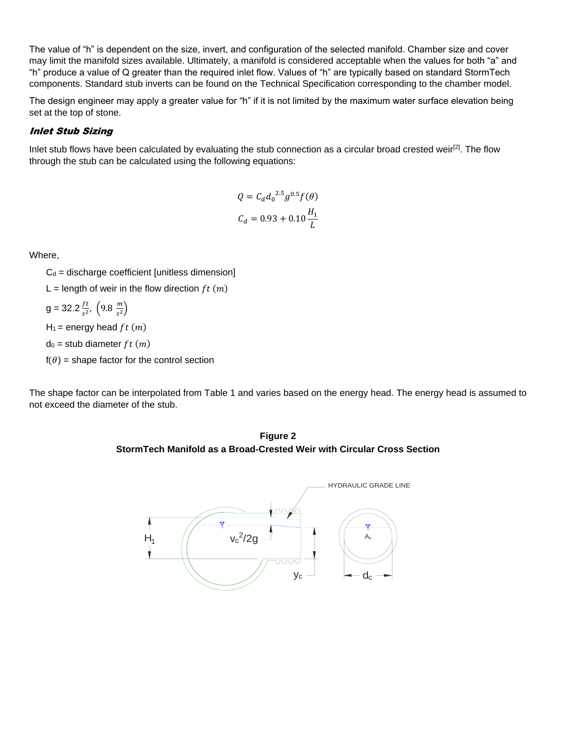The value of "h" is dependent on the size, invert, and configuration of the selected manifold. Chamber size and cover may limit the manifold sizes available. Ultimately, a manifold is considered acceptable when the values for both "a" and "h" produce a value of Q greater than the required inlet flow. Values of "h" are typically based on standard StormTech components. Standard stub inverts can be found on the Technical Specification corresponding to the chamber model.

The design engineer may apply a greater value for "h" if it is not limited by the maximum water surface elevation being set at the top of stone.

#### Inlet Stub Sizing

Inlet stub flows have been calculated by evaluating the stub connection as a circular broad crested weir<sup>[2]</sup>. The flow through the stub can be calculated using the following equations:

$$
Q = C_d d_0^{2.5} g^{0.5} f(\theta)
$$
  

$$
C_d = 0.93 + 0.10 \frac{H_1}{L}
$$

Where,

 $C_d$  = discharge coefficient [unitless dimension]

L = length of weir in the flow direction  $ft(m)$ 

$$
g = 32.2 \frac{ft}{s^2}, \left(9.8 \frac{m}{s^2}\right)
$$

 $H_1$  = energy head  $ft(m)$ 

 $d_0$  = stub diameter  $ft(m)$ 

 $f(\theta)$  = shape factor for the control section

The shape factor can be interpolated from Table 1 and varies based on the energy head. The energy head is assumed to not exceed the diameter of the stub.

**Figure 2 StormTech Manifold as a Broad-Crested Weir with Circular Cross Section**

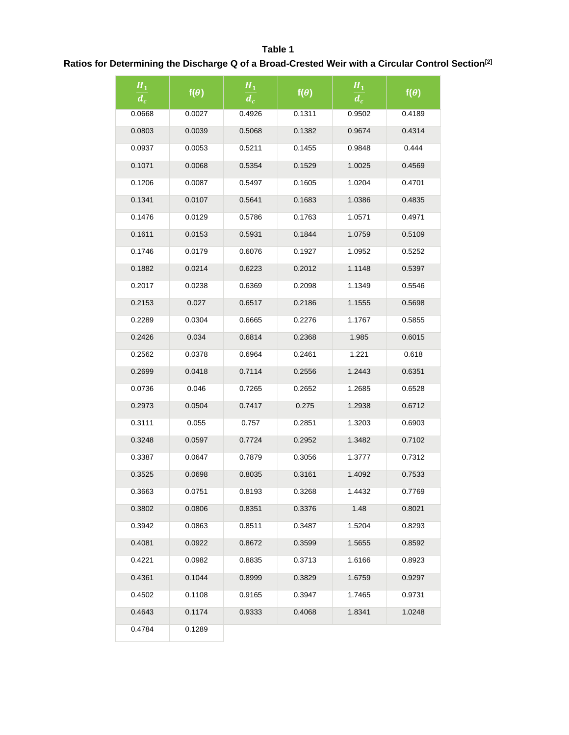#### **Table 1**

## **Ratios for Determining the Discharge Q of a Broad-Crested Weir with a Circular Control Section[2]**

| $\pmb{H_1}$<br>$\overline{d_c}$ | $f(\theta)$ | $H_1$<br>$\overline{d_c}$ | $f(\theta)$                | $H_1$<br>$\overline{d_c}$ | $f(\theta)$ |
|---------------------------------|-------------|---------------------------|----------------------------|---------------------------|-------------|
| 0.0668                          | 0.0027      | 0.4926                    | 0.1311                     | 0.9502                    | 0.4189      |
| 0.0803                          | 0.0039      | 0.5068                    | 0.1382                     | 0.9674                    | 0.4314      |
| 0.0937                          | 0.0053      | 0.5211                    | 0.1455                     | 0.9848                    | 0.444       |
| 0.1071                          | 0.0068      | 0.5354                    | 0.1529                     | 1.0025                    | 0.4569      |
| 0.1206                          | 0.0087      | 0.5497                    | 0.1605                     | 1.0204                    | 0.4701      |
| 0.1341                          | 0.0107      | 0.5641                    | 0.1683                     | 1.0386                    | 0.4835      |
| 0.1476                          | 0.0129      | 0.5786                    | 0.1763                     | 1.0571                    | 0.4971      |
| 0.1611                          | 0.0153      | 0.5931                    | 0.1844                     | 1.0759                    | 0.5109      |
| 0.1746                          | 0.0179      | 0.6076                    | 0.1927                     | 1.0952                    | 0.5252      |
| 0.1882                          | 0.0214      | 0.6223                    | 0.2012                     | 1.1148                    | 0.5397      |
| 0.2017                          | 0.0238      | 0.6369                    | 0.2098                     | 1.1349                    | 0.5546      |
| 0.2153                          | 0.027       | 0.6517                    | 0.2186                     | 1.1555                    | 0.5698      |
| 0.2289                          | 0.0304      | 0.6665                    | 0.2276                     | 1.1767                    | 0.5855      |
| 0.2426                          | 0.034       | 0.6814                    | 0.2368                     | 1.985                     | 0.6015      |
| 0.2562                          | 0.0378      | 0.6964                    | 0.2461                     | 1.221                     | 0.618       |
| 0.2699                          | 0.0418      | 0.7114                    | 0.2556                     | 1.2443                    | 0.6351      |
| 0.0736                          | 0.046       | 0.7265                    | 0.2652                     | 1.2685                    | 0.6528      |
| 0.2973                          | 0.0504      | 0.7417                    | 0.275                      | 1.2938                    | 0.6712      |
| 0.3111                          | 0.055       | 0.757                     | 0.2851                     | 1.3203                    | 0.6903      |
| 0.3248                          | 0.0597      | 0.7724                    | 0.2952                     | 1.3482                    | 0.7102      |
| 0.3387                          | 0.0647      | 0.7879                    | 0.3056                     | 1.3777                    | 0.7312      |
| 0.3525                          | 0.0698      | 0.8035                    | 0.3161                     | 1.4092                    | 0.7533      |
| 0.3663                          | 0.0751      | 0.8193                    | 0.3268                     | 1.4432                    | 0.7769      |
| 0.3802                          | 0.0806      | 0.8351                    | 0.3376                     | 1.48                      | 0.8021      |
| 0.3942                          | 0.0863      | 0.8511                    | 0.3487                     | 1.5204                    | 0.8293      |
| 0.4081                          | 0.0922      | 0.8672                    | 0.3599                     | 1.5655                    | 0.8592      |
| 0.4221                          | 0.0982      | 0.8835                    | 0.3713                     | 1.6166                    | 0.8923      |
| 0.4361                          | 0.1044      | 0.8999                    | 0.3829                     | 1.6759                    | 0.9297      |
| 0.4502                          | 0.1108      | 0.9165                    | 0.3947                     | 1.7465                    | 0.9731      |
| 0.4643                          | 0.1174      | 0.9333                    | 0.4068<br>1.8341<br>1.0248 |                           |             |
| 0.4784                          | 0.1289      |                           |                            |                           |             |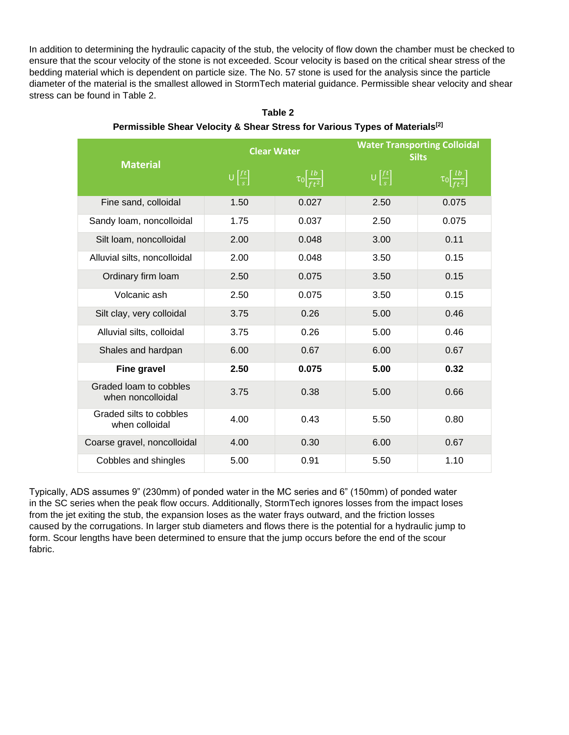In addition to determining the hydraulic capacity of the stub, the velocity of flow down the chamber must be checked to ensure that the scour velocity of the stone is not exceeded. Scour velocity is based on the critical shear stress of the bedding material which is dependent on particle size. The No. 57 stone is used for the analysis since the particle diameter of the material is the smallest allowed in StormTech material guidance. Permissible shear velocity and shear stress can be found in Table 2.

| <b>Material</b>                             | <b>Clear Water</b>                  |                                       | <b>Water Transporting Colloidal</b><br><b>Silts</b> |                                       |  |
|---------------------------------------------|-------------------------------------|---------------------------------------|-----------------------------------------------------|---------------------------------------|--|
|                                             | $\bigcup \left[\frac{ft}{s}\right]$ | $\tau_0 \left[\frac{lb}{ft^2}\right]$ | $\bigcup \left[\frac{ft}{s}\right]$                 | $\tau_0 \left[\frac{lb}{ft^2}\right]$ |  |
| Fine sand, colloidal                        | 1.50                                | 0.027                                 | 2.50                                                | 0.075                                 |  |
| Sandy Ioam, noncolloidal                    | 1.75                                | 0.037                                 | 2.50                                                | 0.075                                 |  |
| Silt loam, noncolloidal                     | 2.00                                | 0.048                                 | 3.00                                                | 0.11                                  |  |
| Alluvial silts, noncolloidal                | 2.00                                | 0.048                                 | 3.50                                                | 0.15                                  |  |
| Ordinary firm loam                          | 2.50                                | 0.075                                 | 3.50                                                | 0.15                                  |  |
| Volcanic ash                                | 2.50                                | 0.075                                 | 3.50                                                | 0.15                                  |  |
| Silt clay, very colloidal                   | 3.75                                | 0.26                                  | 5.00                                                | 0.46                                  |  |
| Alluvial silts, colloidal                   | 3.75                                | 0.26                                  | 5.00                                                | 0.46                                  |  |
| Shales and hardpan                          | 6.00                                | 0.67                                  | 6.00                                                | 0.67                                  |  |
| <b>Fine gravel</b>                          | 2.50                                | 0.075                                 | 5.00                                                | 0.32                                  |  |
| Graded loam to cobbles<br>when noncolloidal | 3.75                                | 0.38                                  | 5.00                                                | 0.66                                  |  |
| Graded silts to cobbles<br>when colloidal   | 4.00                                | 0.43                                  | 5.50                                                | 0.80                                  |  |
| Coarse gravel, noncolloidal                 | 4.00                                | 0.30                                  | 6.00                                                | 0.67                                  |  |
| Cobbles and shingles                        | 5.00                                | 0.91                                  | 5.50                                                | 1.10                                  |  |

**Table 2 Permissible Shear Velocity & Shear Stress for Various Types of Materials[2]**

Typically, ADS assumes 9" (230mm) of ponded water in the MC series and 6" (150mm) of ponded water in the SC series when the peak flow occurs. Additionally, StormTech ignores losses from the impact loses from the jet exiting the stub, the expansion loses as the water frays outward, and the friction losses caused by the corrugations. In larger stub diameters and flows there is the potential for a hydraulic jump to form. Scour lengths have been determined to ensure that the jump occurs before the end of the scour fabric.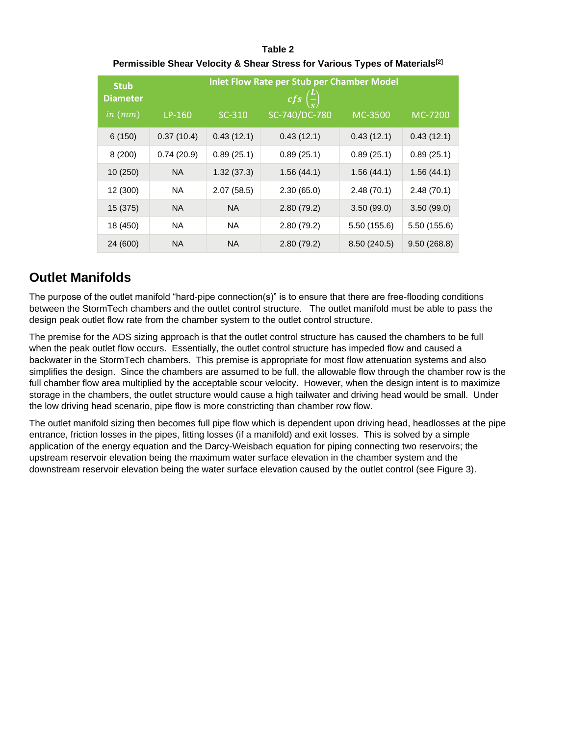| Table 2                                                                                 |
|-----------------------------------------------------------------------------------------|
| Permissible Shear Velocity & Shear Stress for Various Types of Materials <sup>[2]</sup> |

| <b>Stub</b><br><b>Diameter</b> | <b>Inlet Flow Rate per Stub per Chamber Model</b><br>$cfs\left(\frac{L}{a}\right)$ |            |               |             |              |
|--------------------------------|------------------------------------------------------------------------------------|------------|---------------|-------------|--------------|
| $in$ $(mm)$                    | LP-160                                                                             | SC-310     | SC-740/DC-780 | MC-3500     | MC-7200      |
| 6(150)                         | 0.37(10.4)                                                                         | 0.43(12.1) | 0.43(12.1)    | 0.43(12.1)  | 0.43(12.1)   |
| 8(200)                         | 0.74(20.9)                                                                         | 0.89(25.1) | 0.89(25.1)    | 0.89(25.1)  | 0.89(25.1)   |
| 10(250)                        | <b>NA</b>                                                                          | 1.32(37.3) | 1.56(44.1)    | 1.56(44.1)  | 1.56(44.1)   |
| 12 (300)                       | <b>NA</b>                                                                          | 2.07(58.5) | 2.30(65.0)    | 2.48(70.1)  | 2.48(70.1)   |
| 15 (375)                       | <b>NA</b>                                                                          | <b>NA</b>  | 2.80(79.2)    | 3.50(99.0)  | 3.50(99.0)   |
| 18 (450)                       | <b>NA</b>                                                                          | <b>NA</b>  | 2.80(79.2)    | 5.50(155.6) | 5.50 (155.6) |
| 24 (600)                       | <b>NA</b>                                                                          | <b>NA</b>  | 2.80(79.2)    | 8.50(240.5) | 9.50(268.8)  |

## **Outlet Manifolds**

The purpose of the outlet manifold "hard-pipe connection(s)" is to ensure that there are free-flooding conditions between the StormTech chambers and the outlet control structure. The outlet manifold must be able to pass the design peak outlet flow rate from the chamber system to the outlet control structure.

The premise for the ADS sizing approach is that the outlet control structure has caused the chambers to be full when the peak outlet flow occurs. Essentially, the outlet control structure has impeded flow and caused a backwater in the StormTech chambers. This premise is appropriate for most flow attenuation systems and also simplifies the design. Since the chambers are assumed to be full, the allowable flow through the chamber row is the full chamber flow area multiplied by the acceptable scour velocity. However, when the design intent is to maximize storage in the chambers, the outlet structure would cause a high tailwater and driving head would be small. Under the low driving head scenario, pipe flow is more constricting than chamber row flow.

The outlet manifold sizing then becomes full pipe flow which is dependent upon driving head, headlosses at the pipe entrance, friction losses in the pipes, fitting losses (if a manifold) and exit losses. This is solved by a simple application of the energy equation and the Darcy-Weisbach equation for piping connecting two reservoirs; the upstream reservoir elevation being the maximum water surface elevation in the chamber system and the downstream reservoir elevation being the water surface elevation caused by the outlet control (see Figure 3).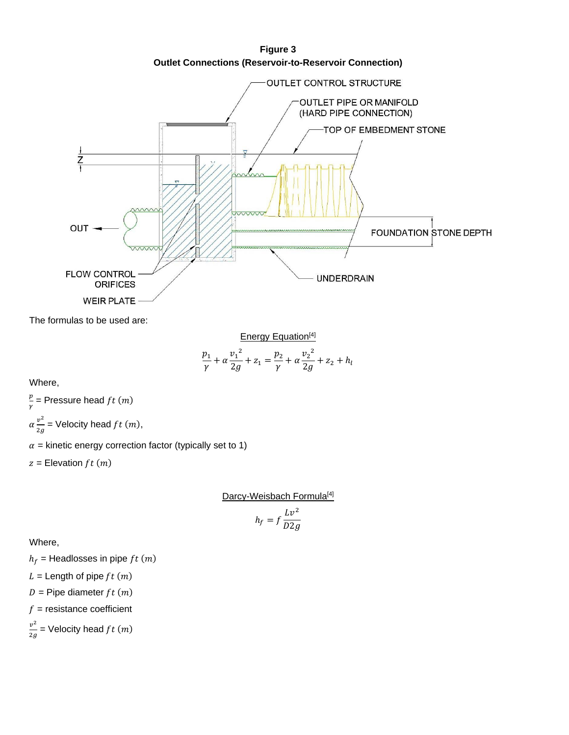**Outlet Connections (Reservoir-to-Reservoir Connection) OUTLET CONTROL STRUCTURE** OUTLET PIPE OR MANIFOLD (HARD PIPE CONNECTION) TOP OF EMBEDMENT STONE OUT FOUNDATION STONE DEPTH **FLOW CONTROL UNDERDRAIN ORIFICES WEIR PLATE** 

The formulas to be used are:

Energy Equation<sup>[4]</sup>  
\n
$$
\frac{p_1}{\gamma} + \alpha \frac{v_1^2}{2g} + z_1 = \frac{p_2}{\gamma} + \alpha \frac{v_2^2}{2g} + z_2 + h_l
$$

Where,

p  $\frac{p}{\gamma}$  = Pressure head ft (m)  $\alpha \frac{v^2}{2}$  $\frac{\partial v}{\partial g}$  = Velocity head f t (m),

 $\alpha$  = kinetic energy correction factor (typically set to 1)

 $z =$  Elevation  $ft(m)$ 

Darcy-Weisbach Formula<sup>[4]</sup>

$$
h_f=f\frac{Lv^2}{D2g}
$$

Where,

 $h_f$  = Headlosses in pipe  $ft(m)$ 

 $L =$  Length of pipe  $ft(m)$ 

$$
D = \text{Pipe diameter } ft \ (m)
$$

 $f =$  resistance coefficient

 $v^2$  $\frac{v}{2g}$  = Velocity head ft (m)

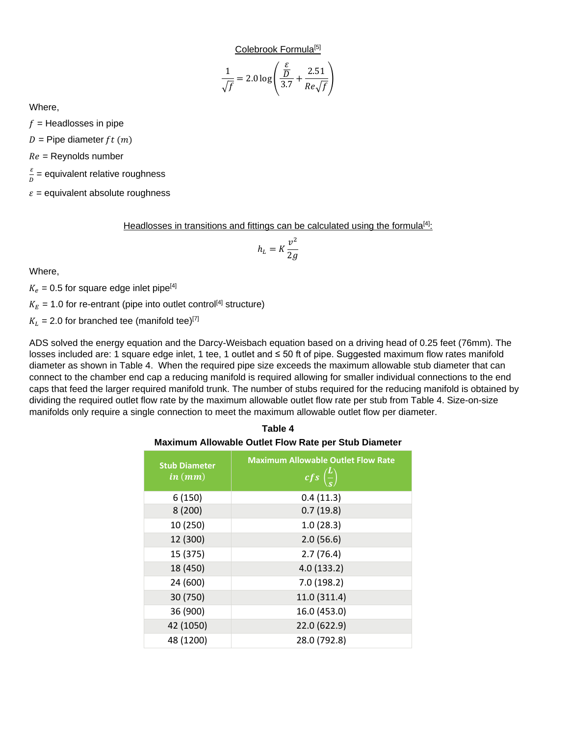Colebrook Formula<sup>[5]</sup>

$$
\frac{1}{\sqrt{f}} = 2.0 \log \left( \frac{\frac{\varepsilon}{D}}{3.7} + \frac{2.51}{Re\sqrt{f}} \right)
$$

Where,

 $f =$  Headlosses in pipe

 $D =$  Pipe diameter  $ft(m)$ 

 $Re =$  Reynolds number

ε  $\frac{\varepsilon}{D}$  = equivalent relative roughness

 $\varepsilon$  = equivalent absolute roughness

Headlosses in transitions and fittings can be calculated using the formula<sup>[4]</sup>:

$$
h_L = K \frac{v^2}{2g}
$$

Where,

 $K_e = 0.5$  for square edge inlet pipe<sup>[4]</sup>

 $K_E = 1.0$  for re-entrant (pipe into outlet control<sup>[4]</sup> structure)

 $K_L$  = 2.0 for branched tee (manifold tee)<sup>[7]</sup>

ADS solved the energy equation and the Darcy-Weisbach equation based on a driving head of 0.25 feet (76mm). The losses included are: 1 square edge inlet, 1 tee, 1 outlet and ≤ 50 ft of pipe. Suggested maximum flow rates manifold diameter as shown in Table 4. When the required pipe size exceeds the maximum allowable stub diameter that can connect to the chamber end cap a reducing manifold is required allowing for smaller individual connections to the end caps that feed the larger required manifold trunk. The number of stubs required for the reducing manifold is obtained by dividing the required outlet flow rate by the maximum allowable outlet flow rate per stub from Table 4. Size-on-size manifolds only require a single connection to meet the maximum allowable outlet flow per diameter.

#### **Table 4 Maximum Allowable Outlet Flow Rate per Stub Diameter**

| <b>Stub Diameter</b><br>in (mm) | <b>Maximum Allowable Outlet Flow Rate</b><br>$cfs\left(\frac{L}{s}\right)$ |  |  |
|---------------------------------|----------------------------------------------------------------------------|--|--|
| 6(150)                          | 0.4(11.3)                                                                  |  |  |
| 8(200)                          | 0.7(19.8)                                                                  |  |  |
| 10 (250)                        | 1.0(28.3)                                                                  |  |  |
| 12 (300)                        | 2.0(56.6)                                                                  |  |  |
| 15 (375)                        | 2.7(76.4)                                                                  |  |  |
| 18 (450)                        | 4.0(133.2)                                                                 |  |  |
| 24 (600)                        | 7.0(198.2)                                                                 |  |  |
| 30 (750)                        | 11.0 (311.4)                                                               |  |  |
| 36 (900)                        | 16.0 (453.0)                                                               |  |  |
| 42 (1050)                       | 22.0 (622.9)                                                               |  |  |
| 48 (1200)                       | 28.0 (792.8)                                                               |  |  |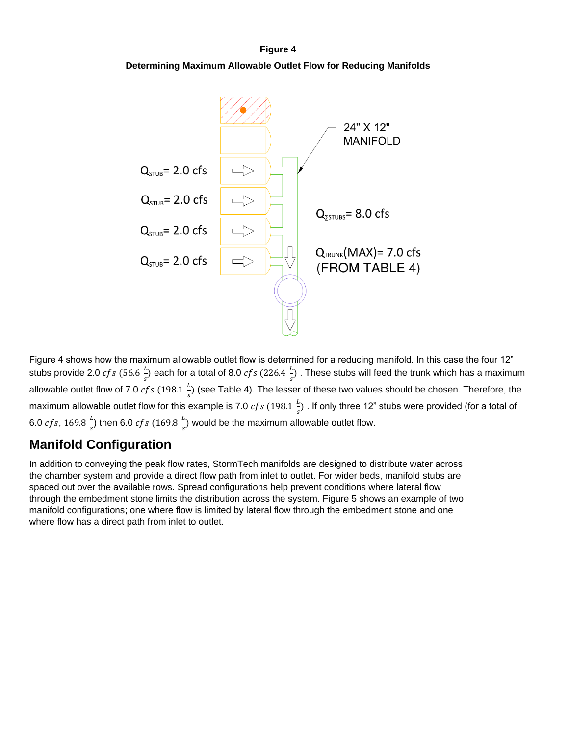#### **Figure 4**

**Determining Maximum Allowable Outlet Flow for Reducing Manifolds**



Figure 4 shows how the maximum allowable outlet flow is determined for a reducing manifold. In this case the four 12" stubs provide 2.0  $cfs$  (56.6  $\frac{L}{s}$  $\frac{L}{s}$ ) each for a total of 8.0  $cfs$  (226.4  $\frac{L}{s}$  $\frac{2}{s}$ ). These stubs will feed the trunk which has a maximum allowable outlet flow of 7.0  $cfs$  (198.1  $\frac{L}{s}$  $\frac{2}{s}$ ) (see Table 4). The lesser of these two values should be chosen. Therefore, the maximum allowable outlet flow for this example is 7.0  $cfs$  (198.1  $\frac{L}{z}$  $\frac{2}{s}$ ) . If only three 12" stubs were provided (for a total of 6.0 *cfs*, 169.8  $\frac{L}{2}$  $\frac{L}{s}$ ) then 6.0  $cfs$  (169.8  $\frac{L}{s}$  $\frac{L}{s}$ ) would be the maximum allowable outlet flow.

## **Manifold Configuration**

In addition to conveying the peak flow rates, StormTech manifolds are designed to distribute water across the chamber system and provide a direct flow path from inlet to outlet. For wider beds, manifold stubs are spaced out over the available rows. Spread configurations help prevent conditions where lateral flow through the embedment stone limits the distribution across the system. Figure 5 shows an example of two manifold configurations; one where flow is limited by lateral flow through the embedment stone and one where flow has a direct path from inlet to outlet.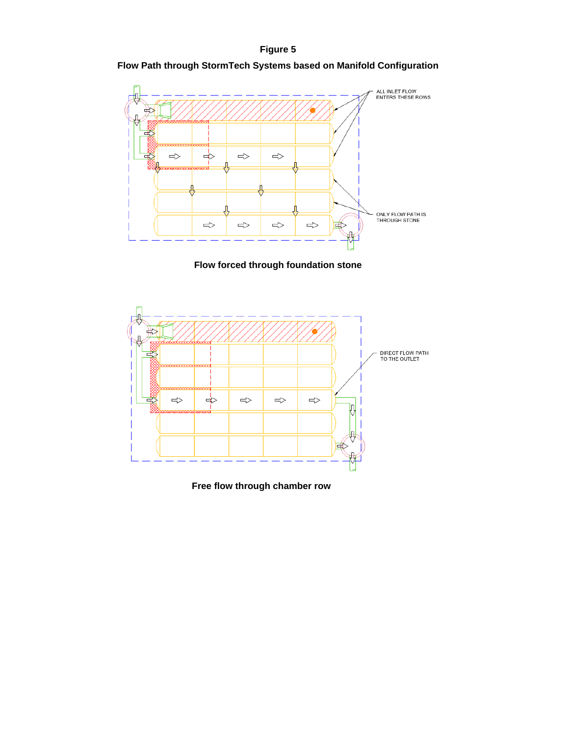#### **Figure 5**

#### **Flow Path through StormTech Systems based on Manifold Configuration**



**Flow forced through foundation stone**



**Free flow through chamber row**